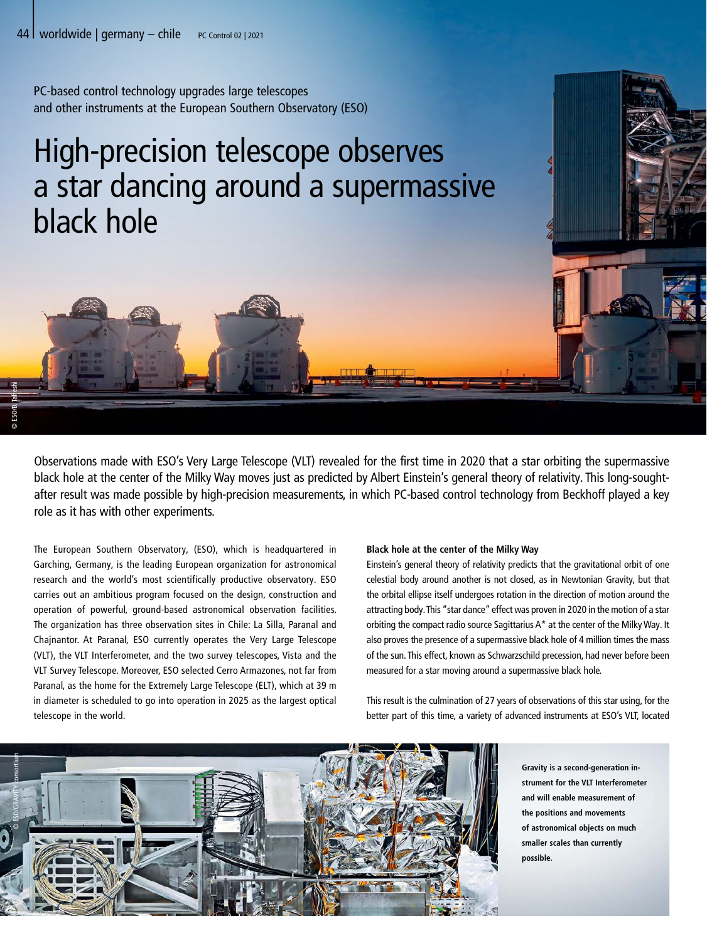PC-based control technology upgrades large telescopes and other instruments at the European Southern Observatory (ESO)

## High-precision telescope observes a star dancing around a supermassive black hole

Observations made with ESO's Very Large Telescope (VLT) revealed for the first time in 2020 that a star orbiting the supermassive black hole at the center of the Milky Way moves just as predicted by Albert Einstein's general theory of relativity. This long-soughtafter result was made possible by high-precision measurements, in which PC-based control technology from Beckhoff played a key role as it has with other experiments.

The European Southern Observatory, (ESO), which is headquartered in Garching, Germany, is the leading European organization for astronomical research and the world's most scientifically productive observatory. ESO carries out an ambitious program focused on the design, construction and operation of powerful, ground-based astronomical observation facilities. The organization has three observation sites in Chile: La Silla, Paranal and Chajnantor. At Paranal, ESO currently operates the Very Large Telescope (VLT), the VLT Interferometer, and the two survey telescopes, Vista and the VLT Survey Telescope. Moreover, ESO selected Cerro Armazones, not far from Paranal, as the home for the Extremely Large Telescope (ELT), which at 39 m in diameter is scheduled to go into operation in 2025 as the largest optical telescope in the world.

## **Black hole at the center of the Milky Way**

Einstein's general theory of relativity predicts that the gravitational orbit of one celestial body around another is not closed, as in Newtonian Gravity, but that the orbital ellipse itself undergoes rotation in the direction of motion around the attracting body. This "star dance" effect was proven in 2020 in the motion of a star orbiting the compact radio source Sagittarius A\* at the center of the Milky Way. It also proves the presence of a supermassive black hole of 4 million times the mass of the sun. This effect, known as Schwarzschild precession, had never before been measured for a star moving around a supermassive black hole.

This result is the culmination of 27 years of observations of this star using, for the better part of this time, a variety of advanced instruments at ESO's VLT, located



**Gravity is a second-generation instrument for the VLT Interferometer and will enable measurement of the positions and movements of astronomical objects on much smaller scales than currently possible.**